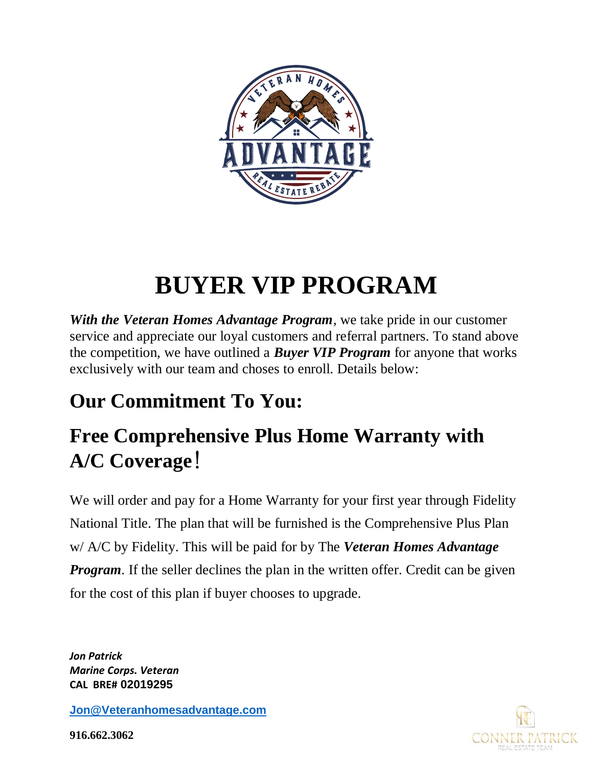

# **BUYER VIP PROGRAM**

*With the Veteran Homes Advantage Program*, we take pride in our customer service and appreciate our loyal customers and referral partners. To stand above the competition, we have outlined a *Buyer VIP Program* for anyone that works exclusively with our team and choses to enroll. Details below:

# **Our Commitment To You:**

# **Free Comprehensive Plus Home Warranty with A/C Coverage**!

We will order and pay for a Home Warranty for your first year through Fidelity National Title. The plan that will be furnished is the Comprehensive Plus Plan w/ A/C by Fidelity. This will be paid for by The *Veteran Homes Advantage Program*. If the seller declines the plan in the written offer. Credit can be given for the cost of this plan if buyer chooses to upgrade.

*Jon Patrick Marine Corps. Veteran* **CAL BRE# 02019295**

**[Jon@Veteranhomesadvantage.com](mailto:Jon@Veteranhomesadvantage.com)**



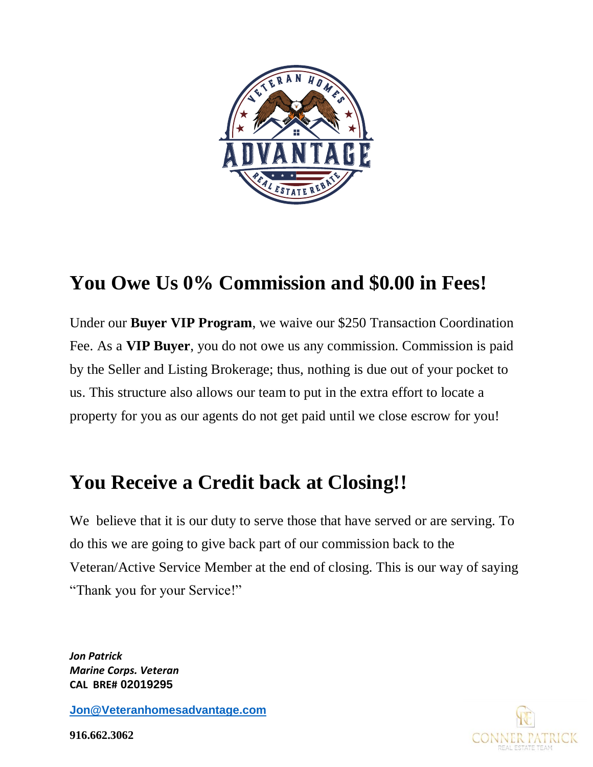

### **You Owe Us 0% Commission and \$0.00 in Fees!**

Under our **Buyer VIP Program**, we waive our \$250 Transaction Coordination Fee. As a **VIP Buyer**, you do not owe us any commission. Commission is paid by the Seller and Listing Brokerage; thus, nothing is due out of your pocket to us. This structure also allows our team to put in the extra effort to locate a property for you as our agents do not get paid until we close escrow for you!

#### **You Receive a Credit back at Closing!!**

We believe that it is our duty to serve those that have served or are serving. To do this we are going to give back part of our commission back to the Veteran/Active Service Member at the end of closing. This is our way of saying "Thank you for your Service!"

*Jon Patrick Marine Corps. Veteran* **CAL BRE# 02019295**

**[Jon@Veteranhomesadvantage.com](mailto:Jon@Veteranhomesadvantage.com)**

**916.662.3062**

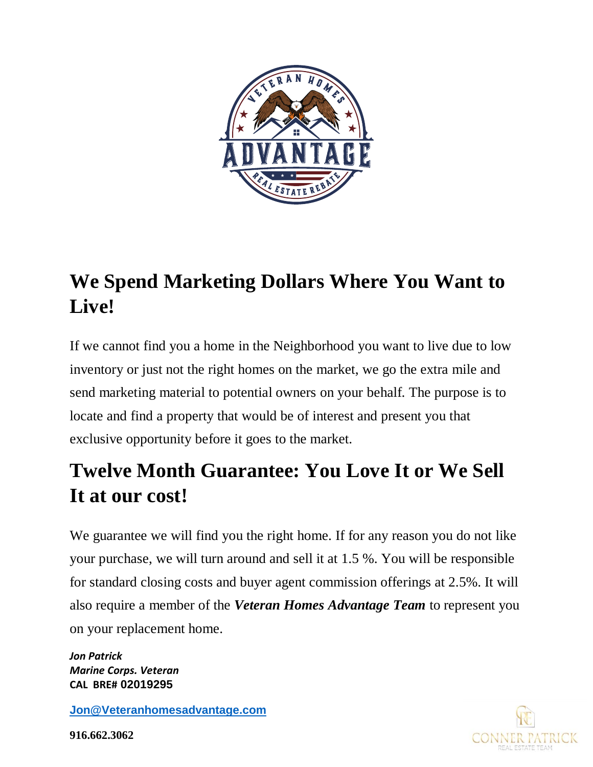

# **We Spend Marketing Dollars Where You Want to Live!**

If we cannot find you a home in the Neighborhood you want to live due to low inventory or just not the right homes on the market, we go the extra mile and send marketing material to potential owners on your behalf. The purpose is to locate and find a property that would be of interest and present you that exclusive opportunity before it goes to the market.

## **Twelve Month Guarantee: You Love It or We Sell It at our cost!**

We guarantee we will find you the right home. If for any reason you do not like your purchase, we will turn around and sell it at 1.5 %. You will be responsible for standard closing costs and buyer agent commission offerings at 2.5%. It will also require a member of the *Veteran Homes Advantage Team* to represent you on your replacement home.

*Jon Patrick Marine Corps. Veteran* **CAL BRE# 02019295**

**[Jon@Veteranhomesadvantage.com](mailto:Jon@Veteranhomesadvantage.com)**

**916.662.3062**